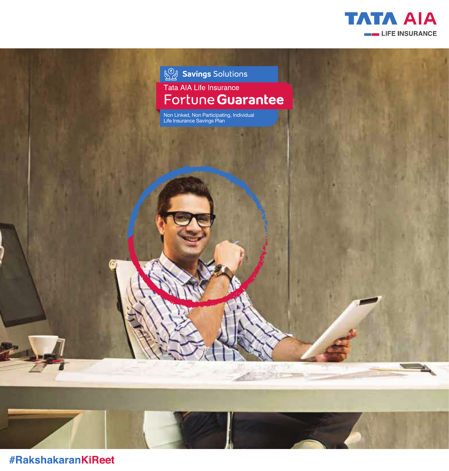



**#RakshakaranKiReet**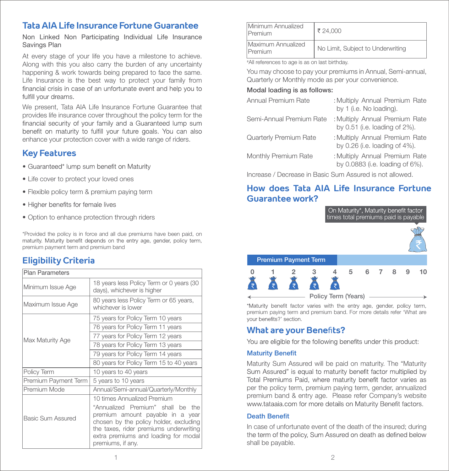# **Tata AIA Life Insurance Fortune Guarantee**

Non Linked Non Participating Individual Life Insurance Savings Plan

At every stage of your life you have a milestone to achieve. Along with this you also carry the burden of any uncertainty happening & work towards being prepared to face the same. Life Insurance is the best way to protect your family from financial crisis in case of an unfortunate event and help you to fulfill your dreams.

We present, Tata AIA Life Insurance Fortune Guarantee that provides life insurance cover throughout the policy term for the financial security of your family and a Guaranteed lump sum benefit on maturity to fulfill your future goals. You can also enhance your protection cover with a wide range of riders.

# **Key Features**

- Guaranteed\* lump sum benefit on Maturity
- Life cover to protect your loved ones
- Flexible policy term & premium paying term
- Higher benefits for female lives
- Option to enhance protection through riders

\*Provided the policy is in force and all due premiums have been paid, on maturity. Maturity benefit depends on the entry age, gender, policy term, premium payment term and premium band

# **Eligibility Criteria**

| <b>Plan Parameters</b> |                                                                                                                                                                                                                        |  |  |  |
|------------------------|------------------------------------------------------------------------------------------------------------------------------------------------------------------------------------------------------------------------|--|--|--|
| Minimum Issue Age      | 18 years less Policy Term or 0 years (30<br>days), whichever is higher                                                                                                                                                 |  |  |  |
| Maximum Issue Age      | 80 years less Policy Term or 65 years,<br>whichever is lower                                                                                                                                                           |  |  |  |
| Max Maturity Age       | 75 years for Policy Term 10 years                                                                                                                                                                                      |  |  |  |
|                        | 76 years for Policy Term 11 years                                                                                                                                                                                      |  |  |  |
|                        | 77 years for Policy Term 12 years                                                                                                                                                                                      |  |  |  |
|                        | 78 years for Policy Term 13 years                                                                                                                                                                                      |  |  |  |
|                        | 79 years for Policy Term 14 years                                                                                                                                                                                      |  |  |  |
|                        | 80 years for Policy Term 15 to 40 years                                                                                                                                                                                |  |  |  |
| Policy Term            | 10 years to 40 years                                                                                                                                                                                                   |  |  |  |
| Premium Payment Term   | 5 years to 10 years                                                                                                                                                                                                    |  |  |  |
| Premium Mode           | Annual/Semi-annual/Quarterly/Monthly                                                                                                                                                                                   |  |  |  |
|                        | 10 times Annualized Premium                                                                                                                                                                                            |  |  |  |
| Basic Sum Assured      | "Annualized Premium" shall be the<br>premium amount payable in a year<br>chosen by the policy holder, excluding<br>the taxes, rider premiums underwriting<br>extra premiums and loading for modal<br>premiums, if any. |  |  |  |

| Minimum Annualized<br>Premium | ₹ 24.000                          |
|-------------------------------|-----------------------------------|
| Maximum Annualized<br>Premium | No Limit, Subject to Underwriting |

# All references to age is as on last birthday.

You may choose to pay your premiums in Annual, Semi-annual, Quarterly or Monthly mode as per your convenience.

### Modal loading is as follows:

| <b>Annual Premium Rate</b>                              | : Multiply Annual Premium Rate<br>by 1 (i.e. No loading).               |  |  |
|---------------------------------------------------------|-------------------------------------------------------------------------|--|--|
| Semi-Annual Premium Rate                                | : Multiply Annual Premium Rate<br>by 0.51 (i.e. loading of 2%).         |  |  |
| <b>Quarterly Premium Rate</b>                           | : Multiply Annual Premium Rate<br>by $0.26$ (i.e. loading of $4\%$ ).   |  |  |
| Monthly Premium Rate                                    | : Multiply Annual Premium Rate<br>by $0.0883$ (i.e. loading of $6\%$ ). |  |  |
| Increase / Decrease in Basic Sum Assured is not allowed |                                                                         |  |  |

**How does Tata AIA Life Insurance Fortune Guarantee work?** 



\*Maturity benefit factor varies with the entry age, gender, policy term, premium paying term and premium band. For more details refer 'What are vour benefits?' section.

# **What are your Bene**fi**ts?**

You are eligible for the following benefits under this product:

## **Maturity Benefit**

Maturity Sum Assured will be paid on maturity. The "Maturity Sum Assured" is equal to maturity benefit factor multiplied by Total Premiums Paid, where maturity benefit factor varies as per the policy term, premium paying term, gender, annualized premium band & entry age. Please refer Company's website www.tataaia.com for more details on Maturity Benefit factors.

## **Death Benefit**

In case of unfortunate event of the death of the insured; during the term of the policy. Sum Assured on death as defined below shall be payable.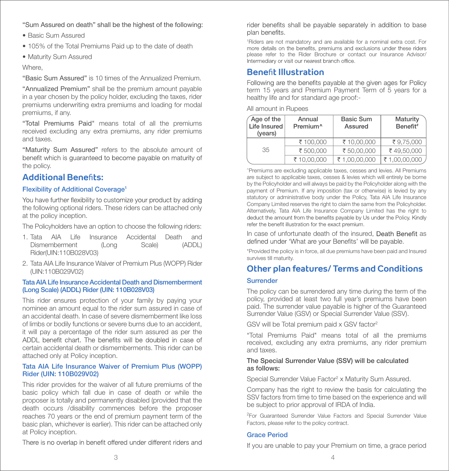- "Sum Assured on death" shall be the highest of the following:
- Basic Sum Assured
- 105% of the Total Premiums Paid up to the date of death
- Maturity Sum Assured

**Where** 

"Basic Sum Assured" is 10 times of the Annualized Premium.

"Annualized Premium" shall be the premium amount payable in a year chosen by the policy holder, excluding the taxes, rider premiums underwriting extra premiums and loading for modal premiums, if any.

"Total Premiums Paid" means total of all the premiums received excluding any extra premiums, any rider premiums and taxes.

"Maturity Sum Assured" refers to the absolute amount of benefit which is quaranteed to become payable on maturity of the policy.

# **Additional Bene**fi**ts:**

## Flexibility of Additional Coverage<sup>1</sup>

You have further flexibility to customize your product by adding the following optional riders. These riders can be attached only at the policy inception.

The Policyholders have an option to choose the following riders:

- 1. Tata AIA Life Insurance Accidental Death and Dismemberment (Long Scale) (ADDL) Rider(UIN:110B028V03)
- 2. Tata AIA Life Insurance Waiver of Premium Plus (WOPP) Rider (UIN:110B029V02)

## Tata AIA Life Insurance Accidental Death and Dismemberment (Long Scale) (ADDL) Rider (UIN: 110B028V03)

This rider ensures protection of your family by paying your nominee an amount equal to the rider sum assured in case of an accidental death. In case of severe dismemberment like loss of limbs or bodily functions or severe burns due to an accident, it will pay a percentage of the rider sum assured as per the ADDL benefit chart. The benefits will be doubled in case of certain accidental death or dismemberments. This rider can be attached only at Policy inception.

## Tata AIA Life Insurance Waiver of Premium Plus (WOPP) Rider (UIN: 110B029V02)

This rider provides for the waiver of all future premiums of the basic policy which fall due in case of death or while the proposer is totally and permanently disabled (provided that the death occurs /disability commences before the proposer reaches 70 years or the end of premium payment term of the basic plan, whichever is earlier). This rider can be attached only at Policy inception.

There is no overlap in benefit offered under different riders and

rider benefits shall be payable separately in addition to base plan benefits.

1 Riders are not mandatory and are available for a nominal extra cost. For please refer to the Rider Brochure or contact our Insurance Advisor/Intermediary or visit our nearest branch office.

# **Bene**fi**t Illustration**

Following are the benefits payable at the given ages for Policy term 15 years and Premium Payment Term of 5 years for a healthy life and for standard age proof:-

All amount in Rupees

| Age of the<br>Life Insured<br>(years) | Annual<br>Premium <sup>^</sup> | <b>Basic Sum</b><br>Assured | Maturity<br>Benefit# |
|---------------------------------------|--------------------------------|-----------------------------|----------------------|
|                                       | ₹ 100,000                      | ₹10.00.000                  | ₹9.75.000            |
| 35                                    | ₹ 500,000                      | ₹50,00,000                  | ₹49.50.000           |
|                                       | ₹10.00.000                     | ₹1.00.00.000                | ₹ 1,00,00,000        |

^Premiums are excluding applicable taxes, cesses and levies. All Premiums are subject to applicable taxes, cesses & levies which will entirely be borne by the Policyholder and will always be paid by the Policyholder along with the payment of Premium. If any imposition (tax or otherwise) is levied by any statutory or administrative body under the Policy, Tata AIA Life Insurance Company Limited reserves the right to claim the same from the Policyholder. Alternatively, Tata AIA Life Insurance Company Limited has the right to deduct the amount from the benefits payable by Us under the Policy. Kindly refer the benefit illustration for the exact premium.

In case of unfortunate death of the insured, Death Benefit as defined under 'What are your Benefits' will be payable.

\*Provided the policy is in force, all due premiums have been paid and Insured survives till maturity.

# **Other plan features/ Terms and Conditions**

## Surrender

The policy can be surrendered any time during the term of the policy, provided at least two full year's premiums have been paid. The surrender value payable is higher of the Guaranteed Surrender Value (GSV) or Special Surrender Value (SSV).

GSV will be Total premium paid x GSV factor2

"Total Premiums Paid" means total of all the premiums received, excluding any extra premiums, any rider premium and taxes.

## The Special Surrender Value (SSV) will be calculated as follows:

Special Surrender Value Factor<sup>2</sup> x Maturity Sum Assured.

Company has the right to review the basis for calculating the SSV factors from time to time based on the experience and will be subject to prior approval of IRDA of India.

<sup>2</sup>For Guaranteed Surrender Value Factors and Special Surrender Value Factors, please refer to the policy contract.

## Grace Period

If you are unable to pay your Premium on time, a grace period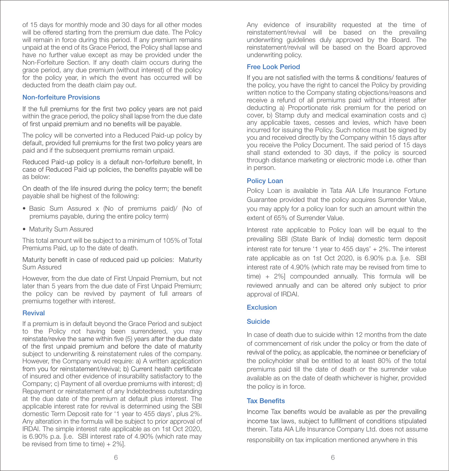of 15 days for monthly mode and 30 days for all other modes will be offered starting from the premium due date. The Policy will remain in force during this period. If any premium remains unpaid at the end of its Grace Period, the Policy shall lapse and have no further value except as may be provided under the Non-Forfeiture Section. If any death claim occurs during the grace period, any due premium (without interest) of the policy for the policy year, in which the event has occurred will be deducted from the death claim pay out.

## Non-forfeiture Provisions

If the full premiums for the first two policy years are not paid within the grace period, the policy shall lapse from the due date<br>of first unpaid premium and no benefits will be payable.

The policy will be converted into a Reduced Paid-up policy by default, provided full premiums for the first two policy years are paid and if the subsequent premiums remain unpaid.

Reduced Paid-up policy is a default non-forfeiture benefit, In case of Reduced Paid up policies, the benefits payable will be as below:

On death of the life insured during the policy term: the benefit payable shall be highest of the following:

- Basic Sum Assured x (No of premiums paid)/ (No of premiums payable, during the entire policy term)
- Maturity Sum Assured

This total amount will be subject to a minimum of 105% of Total Premiums Paid, up to the date of death.

Maturity benefit in case of reduced paid up policies: Maturity Sum Assured

However, from the due date of First Unpaid Premium, but not later than 5 years from the due date of First Unpaid Premium; the policy can be revived by payment of full arrears of premiums together with interest.

## Revival

If a premium is in default beyond the Grace Period and subject to the Policy not having been surrendered, you may<br>reinstate/revive the same within five (5) years after the due date of the first unpaid premium and before the date of maturity subject to underwriting & reinstatement rules of the company. However, the Company would require: a) A written application<br>from you for reinstatement/revival; b) Current health certificate of insured and other evidence of insurability satisfactory to the Company; c) Payment of all overdue premiums with interest; d) Repayment or reinstatement of any Indebtedness outstanding at the due date of the premium at default plus interest. The applicable interest rate for revival is determined using the SBI domestic Term Deposit rate for '1 year to 455 days', plus 2%. Any alteration in the formula will be subject to prior approval of IRDAI. The simple interest rate applicable as on 1st Oct 2020, is 6.90% p.a. [i.e. SBI interest rate of 4.90% (which rate may be revised from time to time) + 2%].

Any evidence of insurability requested at the time of reinstatement/revival will be based on the prevailing underwriting guidelines duly approved by the Board. The reinstatement/revival will be based on the Board approved underwriting policy.

## Free Look Period

If you are not satisfied with the terms & conditions/features of the policy, you have the right to cancel the Policy by providing written notice to the Company stating objections/reasons and receive a refund of all premiums paid without interest after deducting a) Proportionate risk premium for the period on cover, b) Stamp duty and medical examination costs and c) any applicable taxes, cesses and levies, which have been incurred for issuing the Policy. Such notice must be signed by you and received directly by the Company within 15 days after you receive the Policy Document. The said period of 15 days shall stand extended to 30 days, if the policy is sourced through distance marketing or electronic mode i.e. other than in person.

## Policy Loan

Policy Loan is available in Tata AIA Life Insurance Fortune Guarantee provided that the policy acquires Surrender Value, you may apply for a policy loan for such an amount within the extent of 65% of Surrender Value.

Interest rate applicable to Policy loan will be equal to the prevailing SBI (State Bank of India) domestic term deposit interest rate for tenure '1 year to 455 days' + 2%. The interest rate applicable as on 1st Oct 2020, is 6.90% p.a. [i.e. SBI interest rate of 4.90% (which rate may be revised from time to time) + 2%] compounded annually. This formula will be reviewed annually and can be altered only subject to prior approval of IRDAI.

## **Exclusion**

## Suicide

In case of death due to suicide within 12 months from the date of commencement of risk under the policy or from the date of revival of the policy, as applicable, the nominee or beneficiary of the policyholder shall be entitled to at least 80% of the total premiums paid till the date of death or the surrender value available as on the date of death whichever is higher, provided the policy is in force.

## **Tax Renefits**

Income Tax benefits would be available as per the prevailing income tax laws, subject to fulfillment of conditions stipulated therein. Tata AIA Life Insurance Company Ltd. does not assume

responsibility on tax implication mentioned anywhere in this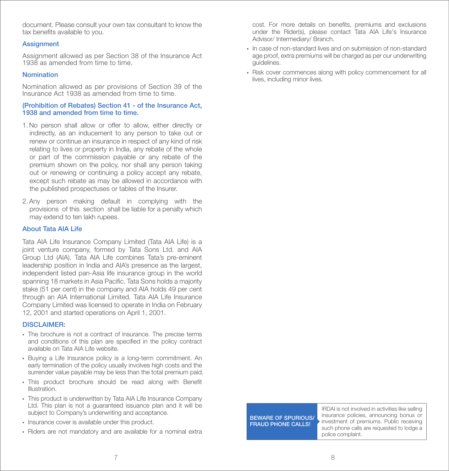document. Please consult your own tax consultant to know the tax benefits available to you.

### **Assignment**

Assignment allowed as per Section 38 of the Insurance Act 1938 as amended from time to time.

### **Nomination**

Nomination allowed as per provisions of Section 39 of the Insurance Act 1938 as amended from time to time.

### (Prohibition of Rebates) Section 41 - of the Insurance Act, 1938 and amended from time to time.

- 1. No person shall allow or offer to allow, either directly or indirectly, as an inducement to any person to take out or renew or continue an insurance in respect of any kind of risk relating to lives or property in India, any rebate of the whole or part of the commission payable or any rebate of the premium shown on the policy, nor shall any person taking out or renewing or continuing a policy accept any rebate, except such rebate as may be allowed in accordance with the published prospectuses or tables of the Insurer.
- 2. Any person making default in complying with the provisions of this section shall be liable for a penalty which may extend to ten lakh rupees.

#### About Tata AIA Life

Tata AIA Life Insurance Company Limited (Tata AIA Life) is a joint venture company, formed by Tata Sons Ltd. and AIA Group Ltd (AIA). Tata AIA Life combines Tata's pre-eminent leadership position in India and AIA's presence as the largest, independent listed pan-Asia life insurance group in the world spanning 18 markets in Asia Pacific. Tata Sons holds a majority stake (51 per cent) in the company and AIA holds 49 per cent through an AIA International Limited. Tata AIA Life Insurance Company Limited was licensed to operate in India on February 12, 2001 and started operations on April 1, 2001.

## DISCLAIMER·

- The brochure is not a contract of insurance. The precise terms and conditions of this plan are specified in the policy contract available on Tata AIA Life website.
- Buying a Life Insurance policy is a long-term commitment. An early termination of the policy usually involves high costs and the surrender value payable may be less than the total premium paid.
- This product brochure should be read along with Benefit Illustration.
- This product is underwritten by Tata AIA Life Insurance Company Ltd. This plan is not a guaranteed issuance plan and it will be subject to Company's underwriting and acceptance.
- Insurance cover is available under this product.
- Riders are not mandatory and are available for a nominal extra

cost. For more details on benefits, premiums and exclusions under the Rider(s), please contact Tata AIA Life's Insurance Advisor/ Intermediary/ Branch.

- In case of non-standard lives and on submission of non-standard age proof, extra premiums will be charged as per our underwriting guidelines.
- Risk cover commences along with policy commencement for all lives, including minor lives.

BEWARE OF SPURIOUS/ FRAUD PHONE CALLS!

IRDAI is not involved in activities like selling insurance policies, announcing bonus or investment of premiums. Public receiving such phone calls are requested to lodge a police complaint.